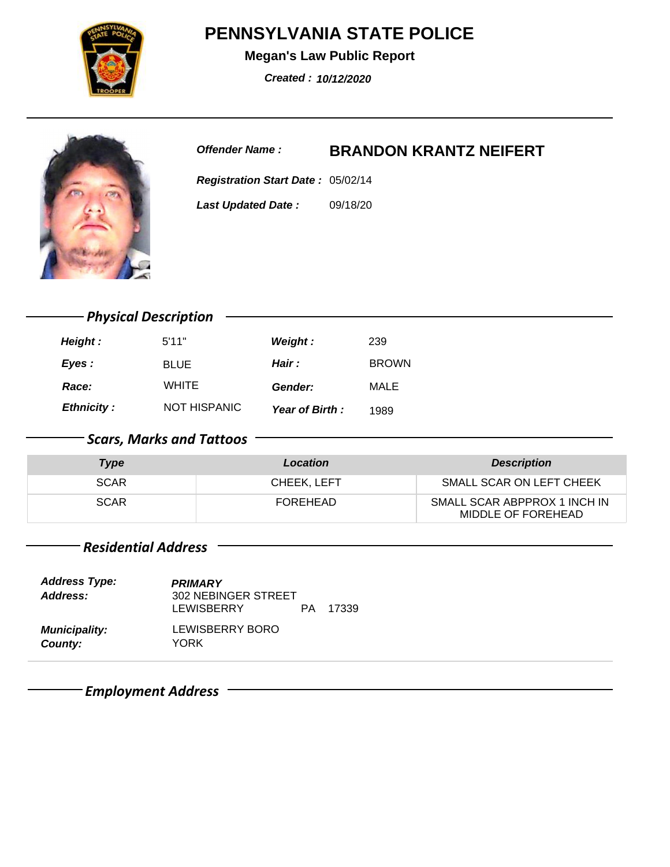**Megan's Law Public Report**

**Created : 10/12/2020**

**Offender Name : BRANDON KRANTZ NEIFERT**

**Registration Start Date: 05/02/14** 09/18/20 **Last Updated Date :**

**Height :** 5'11" **Weight :** 239 **Eyes :** BLUE **Hair :** BROWN **Ethnicity :** NOT HISPANIC *Physical Description* **Year of Birth :** 1989 **Race:** WHITE **Gender:** MALE

### *Scars, Marks and Tattoos*

| <b>Type</b> | Location    | <b>Description</b>                                 |
|-------------|-------------|----------------------------------------------------|
| <b>SCAR</b> | CHEEK. LEFT | SMALL SCAR ON LEFT CHEEK                           |
| <b>SCAR</b> | FOREHEAD    | SMALL SCAR ABPPROX 1 INCH IN<br>MIDDLE OF FOREHEAD |

#### *Residential Address*

| <b>Address Type:</b><br>Address: | <b>PRIMARY</b><br>302 NEBINGER STREET<br>LEWISBERRY | PA. | 17339 |
|----------------------------------|-----------------------------------------------------|-----|-------|
| <b>Municipality:</b><br>County:  | LEWISBERRY BORO<br>YORK                             |     |       |

*Employment Address*

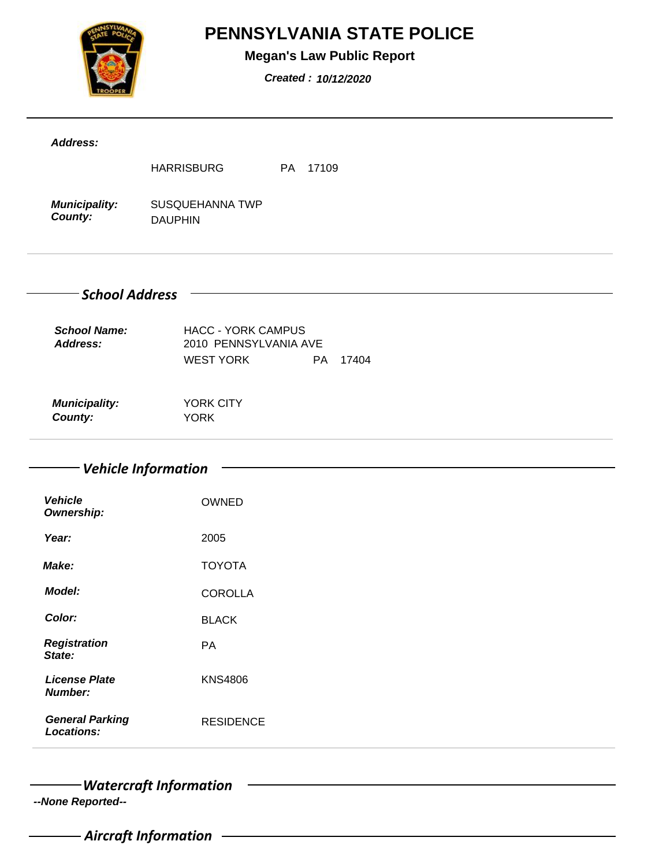

### **Megan's Law Public Report**

**Created : 10/12/2020**

| Address:                               |                                                    |
|----------------------------------------|----------------------------------------------------|
|                                        | PA 17109<br><b>HARRISBURG</b>                      |
| <b>Municipality:</b><br>County:        | SUSQUEHANNA TWP<br><b>DAUPHIN</b>                  |
| - School Address                       |                                                    |
| <b>School Name:</b><br>Address:        | <b>HACC - YORK CAMPUS</b><br>2010 PENNSYLVANIA AVE |
|                                        | <b>WEST YORK</b><br>PA 17404                       |
| <b>Municipality:</b><br>County:        | <b>YORK CITY</b><br><b>YORK</b>                    |
| <b>Vehicle</b>                         | Vehicle Information<br><b>OWNED</b>                |
| Ownership:                             |                                                    |
| Year:                                  | 2005                                               |
| Make:                                  | <b>TOYOTA</b>                                      |
| <b>Model:</b>                          | <b>COROLLA</b>                                     |
|                                        | <b>BLACK</b>                                       |
| Color:                                 |                                                    |
| <b>Registration</b><br>State:          | PA                                                 |
| <b>License Plate</b><br><b>Number:</b> | <b>KNS4806</b>                                     |

*Watercraft Information*

**--None Reported--**

*Aircraft Information*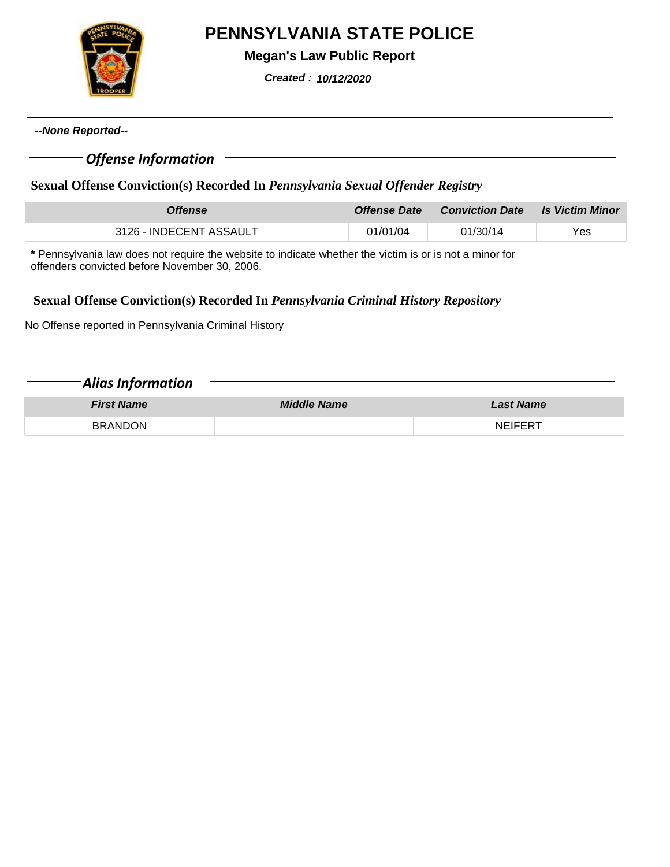

**Megan's Law Public Report**

**Created : 10/12/2020**

**--None Reported--**

#### *Offense Information*

#### **Sexual Offense Conviction(s) Recorded In** *Pennsylvania Sexual Offender Registry*

| <b>Offense</b>          | <i><b>Offense Date</b></i> | <b>Conviction Date Let Victim Minor</b> |     |
|-------------------------|----------------------------|-----------------------------------------|-----|
| 3126 - INDECENT ASSAULT | 01/01/04                   | 01/30/14                                | Yes |

**\*** Pennsylvania law does not require the website to indicate whether the victim is or is not a minor for offenders convicted before November 30, 2006.

#### **Sexual Offense Conviction(s) Recorded In** *Pennsylvania Criminal History Repository*

No Offense reported in Pennsylvania Criminal History

| <b>Alias Information</b> |                    |                  |
|--------------------------|--------------------|------------------|
| <b>First Name</b>        | <b>Middle Name</b> | <b>Last Name</b> |
| <b>BRANDON</b>           |                    | <b>NEIFERT</b>   |